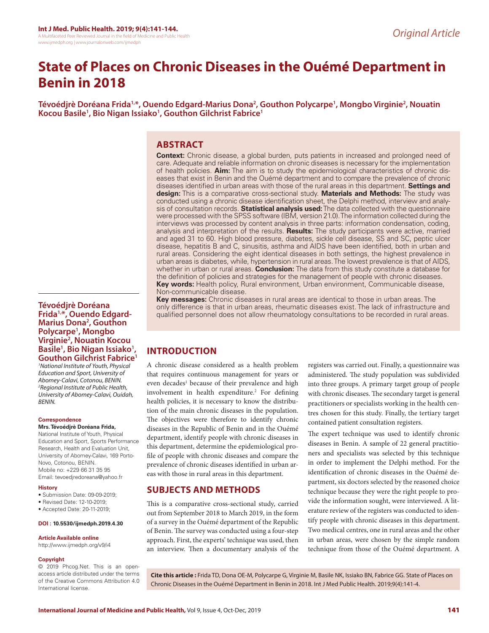# **State of Places on Chronic Diseases in the Ouémé Department in Benin in 2018**

Tévoédjrè Doréana Frida<sup>1,</sup>\*, Ouendo Edgard-Marius Dona<sup>2</sup>, Gouthon Polycarpe<sup>1</sup>, Mongbo Virginie<sup>2</sup>, Nouatin **Kocou Basile1 , Bio Nigan Issiako1 , Gouthon Gilchrist Fabrice1**

# **ABSTRACT**

**Context:** Chronic disease, a global burden, puts patients in increased and prolonged need of care. Adequate and reliable information on chronic diseases is necessary for the implementation of health policies. **Aim:** The aim is to study the epidemiological characteristics of chronic diseases that exist in Benin and the Ouémé department and to compare the prevalence of chronic diseases identified in urban areas with those of the rural areas in this department. **Settings and design:** This is a comparative cross-sectional study. **Materials and Methods:** The study was conducted using a chronic disease identification sheet, the Delphi method, interview and analysis of consultation records. **Statistical analysis used:** The data collected with the questionnaire were processed with the SPSS software (IBM, version 21.0). The information collected during the interviews was processed by content analysis in three parts: information condensation, coding, analysis and interpretation of the results. **Results:** The study participants were active, married and aged 31 to 60. High blood pressure, diabetes, sickle cell disease, SS and SC, peptic ulcer disease, hepatitis B and C, sinusitis, asthma and AIDS have been identified, both in urban and rural areas. Considering the eight identical diseases in both settings, the highest prevalence in urban areas is diabetes, while, hypertension in rural areas. The lowest prevalence is that of AIDS, whether in urban or rural areas. **Conclusion:** The data from this study constitute a database for the definition of policies and strategies for the management of people with chronic diseases. **Key words:** Health policy, Rural environment, Urban environment, Communicable disease, Non-communicable disease.

**Key messages:** Chronic diseases in rural areas are identical to those in urban areas. The only difference is that in urban areas, rheumatic diseases exist. The lack of infrastructure and qualified personnel does not allow rheumatology consultations to be recorded in rural areas.

# **INTRODUCTION**

A chronic disease considered as a health problem that requires continuous management for years or even decades<sup>1</sup> because of their prevalence and high involvement in health expenditure.<sup>2</sup> For defining health policies, it is necessary to know the distribution of the main chronic diseases in the population. The objectives were therefore to identify chronic diseases in the Republic of Benin and in the Ouémé department, identify people with chronic diseases in this department, determine the epidemiological profile of people with chronic diseases and compare the prevalence of chronic diseases identified in urban areas with those in rural areas in this department.

# **SUBJECTS AND METHODS**

This is a comparative cross-sectional study, carried out from September 2018 to March 2019, in the form of a survey in the Ouémé department of the Republic of Benin. The survey was conducted using a four-step approach. First, the experts' technique was used, then an interview. Then a documentary analysis of the registers was carried out. Finally, a questionnaire was administered. The study population was subdivided into three groups. A primary target group of people with chronic diseases. The secondary target is general practitioners or specialists working in the health centres chosen for this study. Finally, the tertiary target contained patient consultation registers.

The expert technique was used to identify chronic diseases in Benin. A sample of 22 general practitioners and specialists was selected by this technique in order to implement the Delphi method. For the identification of chronic diseases in the Ouémé department, six doctors selected by the reasoned choice technique because they were the right people to provide the information sought, were interviewed. A literature review of the registers was conducted to identify people with chronic diseases in this department. Two medical centres, one in rural areas and the other in urban areas, were chosen by the simple random technique from those of the Ouémé department. A

© 2019 Phcog.Net. This is an open-

**Cite this article :** Frida TD, Dona OE-M, Polycarpe G, Virginie M, Basile NK, Issiako BN, Fabrice GG. State of Places on Chronic Diseases in the Ouémé Department in Benin in 2018. Int J Med Public Health. 2019;9(4):141-4.

**Tévoédjrè Doréana Frida1,\*, Ouendo Edgard-Marius Dona2 , Gouthon Polycarpe1 , Mongbo Virginie2 , Nouatin Kocou Basile1 , Bio Nigan Issiako1 , Gouthon Gilchrist Fabrice1**

*1 National Institute of Youth, Physical Education and Sport, University of Abomey-Calavi, Cotonou, BENIN. 2 Regional Institute of Public Health, University of Abomey-Calavi, Ouidah, BENIN.*

#### **Correspondence**

**Mrs. Tévoédjrè Doréana Frida,**

National Institute of Youth, Physical Education and Sport, Sports Performance Research, Health and Evaluation Unit, University of Abomey-Calavi, 169 Porto-Novo, Cotonou, BENIN. Mobile no: +229 66 31 35 95 Email: tevoedjredoreana@yahoo.fr

#### **History**

- Submission Date: 09-09-2019;
- Revised Date: 12-10-2019;
- Accepted Date: 20-11-2019;

#### **DOI : 10.5530/ijmedph.2019.4.30**

#### **Article Available online**

http://www.ijmedph.org/v9/i4

#### **Copyright**

access article distributed under the terms of the Creative Commons Attribution 4.0 International license.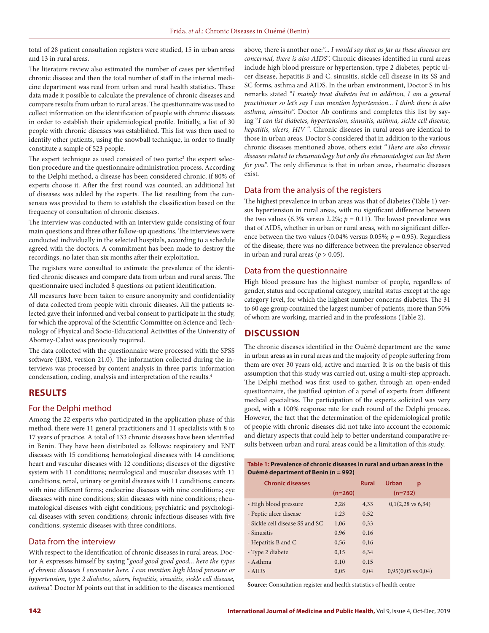total of 28 patient consultation registers were studied, 15 in urban areas and 13 in rural areas.

The literature review also estimated the number of cases per identified chronic disease and then the total number of staff in the internal medicine department was read from urban and rural health statistics. These data made it possible to calculate the prevalence of chronic diseases and compare results from urban to rural areas. The questionnaire was used to collect information on the identification of people with chronic diseases in order to establish their epidemiological profile. Initially, a list of 30 people with chronic diseases was established. This list was then used to identify other patients, using the snowball technique, in order to finally constitute a sample of 523 people.

The expert technique as used consisted of two parts:<sup>3</sup> the expert selection procedure and the questionnaire administration process. According to the Delphi method, a disease has been considered chronic, if 80% of experts choose it. After the first round was counted, an additional list of diseases was added by the experts. The list resulting from the consensus was provided to them to establish the classification based on the frequency of consultation of chronic diseases.

The interview was conducted with an interview guide consisting of four main questions and three other follow-up questions. The interviews were conducted individually in the selected hospitals, according to a schedule agreed with the doctors. A commitment has been made to destroy the recordings, no later than six months after their exploitation.

The registers were consulted to estimate the prevalence of the identified chronic diseases and compare data from urban and rural areas. The questionnaire used included 8 questions on patient identification.

All measures have been taken to ensure anonymity and confidentiality of data collected from people with chronic diseases. All the patients selected gave their informed and verbal consent to participate in the study, for which the approval of the Scientific Committee on Science and Technology of Physical and Socio-Educational Activities of the University of Abomey-Calavi was previously required.

The data collected with the questionnaire were processed with the SPSS software (IBM, version 21.0). The information collected during the interviews was processed by content analysis in three parts: information condensation, coding, analysis and interpretation of the results.4

# **RESULTS**

#### For the Delphi method

Among the 22 experts who participated in the application phase of this method, there were 11 general practitioners and 11 specialists with 8 to 17 years of practice. A total of 133 chronic diseases have been identified in Benin. They have been distributed as follows: respiratory and ENT diseases with 15 conditions; hematological diseases with 14 conditions; heart and vascular diseases with 12 conditions; diseases of the digestive system with 11 conditions; neurological and muscular diseases with 11 conditions; renal, urinary or genital diseases with 11 conditions; cancers with nine different forms; endocrine diseases with nine conditions; eye diseases with nine conditions; skin diseases with nine conditions; rheumatological diseases with eight conditions; psychiatric and psychological diseases with seven conditions; chronic infectious diseases with five conditions; systemic diseases with three conditions.

#### Data from the interview

With respect to the identification of chronic diseases in rural areas, Doctor A expresses himself by saying "*good good good good... here the types of chronic diseases I encounter here. I can mention high blood pressure or hypertension, type 2 diabetes, ulcers, hepatitis, sinusitis, sickle cell disease, asthma*". Doctor M points out that in addition to the diseases mentioned

above, there is another one:"... *I would say that as far as these diseases are concerned, there is also AIDS*". Chronic diseases identified in rural areas include high blood pressure or hypertension, type 2 diabetes, peptic ulcer disease, hepatitis B and C, sinusitis, sickle cell disease in its SS and SC forms, asthma and AIDS. In the urban environment, Doctor S in his remarks stated "*I mainly treat diabetes but in addition, I am a general practitioner so let's say I can mention hypertension... I think there is also asthma, sinusitis*". Doctor Ab confirms and completes this list by saying "*I can list diabetes, hypertension, sinusitis, asthma, sickle cell disease, hepatitis, ulcers, HIV* ". Chronic diseases in rural areas are identical to those in urban areas. Doctor S considered that in addition to the various chronic diseases mentioned above, others exist "*There are also chronic diseases related to rheumatology but only the rheumatologist can list them for you*". The only difference is that in urban areas, rheumatic diseases exist.

### Data from the analysis of the registers

The highest prevalence in urban areas was that of diabetes (Table 1) versus hypertension in rural areas, with no significant difference between the two values (6.3% versus 2.2%;  $p = 0.11$ ). The lowest prevalence was that of AIDS, whether in urban or rural areas, with no significant difference between the two values (0.04% versus 0.05%;  $p = 0.95$ ). Regardless of the disease, there was no difference between the prevalence observed in urban and rural areas ( $p > 0.05$ ).

#### Data from the questionnaire

High blood pressure has the highest number of people, regardless of gender, status and occupational category, marital status except at the age category level, for which the highest number concerns diabetes. The 31 to 60 age group contained the largest number of patients, more than 50% of whom are working, married and in the professions (Table 2).

# **DISCUSSION**

The chronic diseases identified in the Ouémé department are the same in urban areas as in rural areas and the majority of people suffering from them are over 30 years old, active and married. It is on the basis of this assumption that this study was carried out, using a multi-step approach. The Delphi method was first used to gather, through an open-ended questionnaire, the justified opinion of a panel of experts from different medical specialties. The participation of the experts solicited was very good, with a 100% response rate for each round of the Delphi process. However, the fact that the determination of the epidemiological profile of people with chronic diseases did not take into account the economic and dietary aspects that could help to better understand comparative results between urban and rural areas could be a limitation of this study.

| Table 1: Prevalence of chronic diseases in rural and urban areas in the |  |
|-------------------------------------------------------------------------|--|
| Ouémé department of Benin (n = 992)                                     |  |

| <b>Chronic diseases</b>         |           | <b>Rural</b> | <b>Urban</b><br>p             |  |
|---------------------------------|-----------|--------------|-------------------------------|--|
|                                 | $(n=260)$ |              | $(n=732)$                     |  |
| - High blood pressure           | 2,28      | 4,33         | $0,1(2,28 \text{ vs } 6,34)$  |  |
| - Peptic ulcer disease          | 1,23      | 0,52         |                               |  |
| - Sickle cell disease SS and SC | 1,06      | 0,33         |                               |  |
| - Sinusitis                     | 0,96      | 0,16         |                               |  |
| - Hepatitis B and C             | 0.56      | 0,16         |                               |  |
| - Type 2 diabete                | 0,15      | 6,34         |                               |  |
| - Asthma                        | 0,10      | 0,15         |                               |  |
| - AIDS                          | 0.05      | 0.04         | $0.95(0.05 \text{ vs } 0.04)$ |  |

**Source**: Consultation register and health statistics of health centre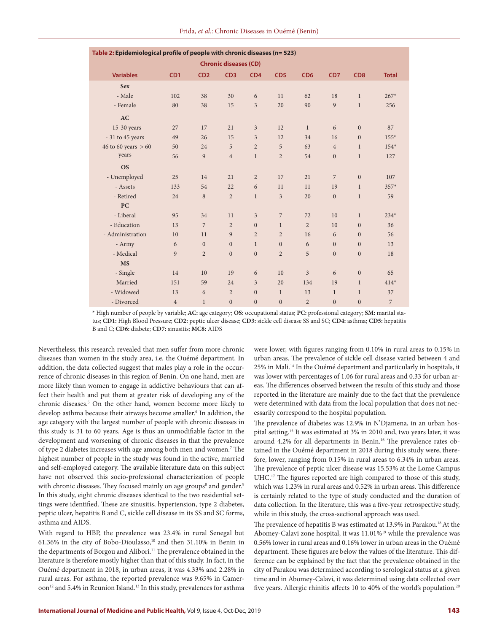| Table 2: Epidemiological profile of people with chronic diseases (n= 523) |                 |                |                  |                  |                  |                 |                 |                 |              |  |  |
|---------------------------------------------------------------------------|-----------------|----------------|------------------|------------------|------------------|-----------------|-----------------|-----------------|--------------|--|--|
| <b>Chronic diseases (CD)</b>                                              |                 |                |                  |                  |                  |                 |                 |                 |              |  |  |
| <b>Variables</b>                                                          | CD <sub>1</sub> | CD2            | CD3              | CD <sub>4</sub>  | CD <sub>5</sub>  | CD <sub>6</sub> | CD <sub>7</sub> | CD <sub>8</sub> | <b>Total</b> |  |  |
| <b>Sex</b>                                                                |                 |                |                  |                  |                  |                 |                 |                 |              |  |  |
| - Male                                                                    | 102             | 38             | 30               | 6                | 11               | 62              | 18              | $\mathbf{1}$    | $267*$       |  |  |
| - Female                                                                  | 80              | 38             | 15               | $\overline{3}$   | 20               | 90              | 9               | $\mathbf{1}$    | 256          |  |  |
| AC                                                                        |                 |                |                  |                  |                  |                 |                 |                 |              |  |  |
| - 15-30 years                                                             | 27              | 17             | 21               | 3                | 12               | $\mathbf{1}$    | 6               | $\mathbf{0}$    | 87           |  |  |
| - 31 to 45 years                                                          | 49              | 26             | 15               | 3                | 12               | 34              | 16              | $\mathbf{0}$    | $155*$       |  |  |
| $-46$ to 60 years $> 60$                                                  | 50              | 24             | 5                | $\overline{2}$   | 5                | 63              | $\overline{4}$  | $\mathbf{1}$    | $154*$       |  |  |
| years                                                                     | 56              | 9              | $\overline{4}$   | $\mathbf{1}$     | $\overline{2}$   | 54              | $\mathbf{0}$    | $\mathbf{1}$    | 127          |  |  |
| <b>OS</b>                                                                 |                 |                |                  |                  |                  |                 |                 |                 |              |  |  |
| - Unemployed                                                              | 25              | 14             | 21               | $\overline{2}$   | 17               | 21              | $\overline{7}$  | $\Omega$        | 107          |  |  |
| - Assets                                                                  | 133             | 54             | 22               | 6                | 11               | 11              | 19              | $\mathbf{1}$    | 357*         |  |  |
| - Retired                                                                 | 24              | 8              | $\overline{2}$   | $\mathbf{1}$     | $\overline{3}$   | 20              | $\mathbf{0}$    | $\mathbf{1}$    | 59           |  |  |
| <b>PC</b>                                                                 |                 |                |                  |                  |                  |                 |                 |                 |              |  |  |
| - Liberal                                                                 | 95              | 34             | 11               | $\overline{3}$   | 7                | 72              | 10              | $\mathbf{1}$    | $234*$       |  |  |
| - Education                                                               | 13              | $\overline{7}$ | $\overline{2}$   | $\overline{0}$   | $\mathbf{1}$     | $\overline{2}$  | 10              | $\Omega$        | 36           |  |  |
| - Administration                                                          | 10              | 11             | 9                | $\overline{2}$   | $\overline{2}$   | 16              | 6               | $\mathbf{0}$    | 56           |  |  |
| - Army                                                                    | 6               | $\mathbf{0}$   | $\mathbf{0}$     | $\mathbf{1}$     | $\mathbf{0}$     | 6               | $\mathbf{0}$    | $\mathbf{0}$    | 13           |  |  |
| - Medical                                                                 | 9               | $\overline{2}$ | $\mathbf{0}$     | $\overline{0}$   | $\overline{2}$   | 5               | $\mathbf{0}$    | $\mathbf{0}$    | 18           |  |  |
| <b>MS</b>                                                                 |                 |                |                  |                  |                  |                 |                 |                 |              |  |  |
| - Single                                                                  | 14              | 10             | 19               | 6                | 10               | 3               | 6               | $\Omega$        | 65           |  |  |
| - Married                                                                 | 151             | 59             | 24               | 3                | 20               | 134             | 19              | $\mathbf{1}$    | $414*$       |  |  |
| - Widowed                                                                 | 13              | 6              | $\overline{2}$   | $\overline{0}$   | $\mathbf{1}$     | 13              | $\mathbf{1}$    | $\mathbf{1}$    | 37           |  |  |
| - Divorced                                                                | $\overline{4}$  | $\mathbf 1$    | $\boldsymbol{0}$ | $\boldsymbol{0}$ | $\boldsymbol{0}$ | $\overline{2}$  | $\mathbf{0}$    | $\mathbf{0}$    | 7            |  |  |

\* High number of people by variable; **AC:** age category; **OS:** occupational status; **PC:** professional category; **SM:** marital status; **CD1:** High Blood Pressure; **CD2:** peptic ulcer disease; **CD3:** sickle cell disease SS and SC; **CD4:** asthma; **CD5:** hepatitis B and C; **CD6:** diabete; **CD7:** sinusitis; **MC8:** AIDS

Nevertheless, this research revealed that men suffer from more chronic diseases than women in the study area, i.e. the Ouémé department. In addition, the data collected suggest that males play a role in the occurrence of chronic diseases in this region of Benin. On one hand, men are more likely than women to engage in addictive behaviours that can affect their health and put them at greater risk of developing any of the chronic diseases.5 On the other hand, women become more likely to develop asthma because their airways become smaller.<sup>6</sup> In addition, the age category with the largest number of people with chronic diseases in this study is 31 to 60 years. Age is thus an unmodifiable factor in the development and worsening of chronic diseases in that the prevalence of type 2 diabetes increases with age among both men and women.7 The highest number of people in the study was found in the active, married and self-employed category. The available literature data on this subject have not observed this socio-professional characterization of people with chronic diseases. They focused mainly on age groups<sup>8</sup> and gender.<sup>9</sup> In this study, eight chronic diseases identical to the two residential settings were identified. These are sinusitis, hypertension, type 2 diabetes, peptic ulcer, hepatitis B and C, sickle cell disease in its SS and SC forms, asthma and AIDS.

With regard to HBP, the prevalence was 23.4% in rural Senegal but 61.36% in the city of Bobo-Dioulasso, and then 31.10% in Benin in the departments of Borgou and Alibori.<sup>11</sup> The prevalence obtained in the literature is therefore mostly higher than that of this study. In fact, in the Ouémé department in 2018, in urban areas, it was 4.33% and 2.28% in rural areas. For asthma, the reported prevalence was 9.65% in Cameroon<sup>12</sup> and 5.4% in Reunion Island.<sup>13</sup> In this study, prevalences for asthma

were lower, with figures ranging from 0.10% in rural areas to 0.15% in urban areas. The prevalence of sickle cell disease varied between 4 and 25% in Mali.14 In the Ouémé department and particularly in hospitals, it was lower with percentages of 1.06 for rural areas and 0.33 for urban areas. The differences observed between the results of this study and those reported in the literature are mainly due to the fact that the prevalence were determined with data from the local population that does not necessarily correspond to the hospital population.

The prevalence of diabetes was 12.9% in N'Djamena, in an urban hospital setting.15 It was estimated at 3% in 2010 and, two years later, it was around 4.2% for all departments in Benin.<sup>16</sup> The prevalence rates obtained in the Ouémé department in 2018 during this study were, therefore, lower, ranging from 0.15% in rural areas to 6.34% in urban areas. The prevalence of peptic ulcer disease was 15.53% at the Lome Campus UHC.17 The figures reported are high compared to those of this study, which was 1.23% in rural areas and 0.52% in urban areas. This difference is certainly related to the type of study conducted and the duration of data collection. In the literature, this was a five-year retrospective study, while in this study, the cross-sectional approach was used.

The prevalence of hepatitis B was estimated at 13.9% in Parakou.<sup>18</sup> At the Abomey-Calavi zone hospital, it was 11.01%19 while the prevalence was 0.56% lower in rural areas and 0.16% lower in urban areas in the Ouémé department. These figures are below the values of the literature. This difference can be explained by the fact that the prevalence obtained in the city of Parakou was determined according to serological status at a given time and in Abomey-Calavi, it was determined using data collected over five years. Allergic rhinitis affects 10 to 40% of the world's population.<sup>20</sup>